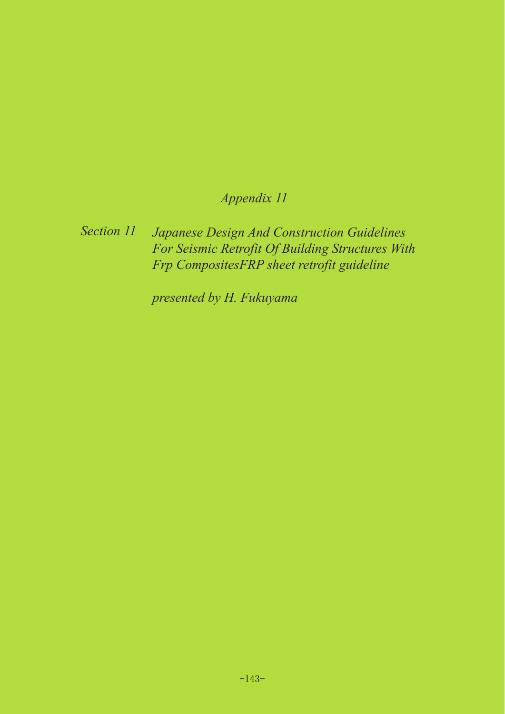# *Appendix 11*

### *Japanese Design And Construction Guidelines For Seismic Retrofit Of Building Structures With Frp CompositesFRP sheet retrofit guideline Section 11*

*presented by H. Fukuyama*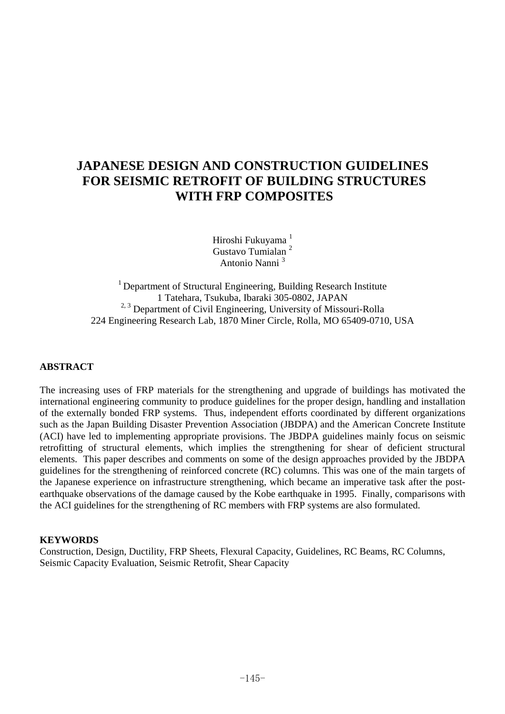## **JAPANESE DESIGN AND CONSTRUCTION GUIDELINES FOR SEISMIC RETROFIT OF BUILDING STRUCTURES WITH FRP COMPOSITES**

Hiroshi Fukuyama<sup>1</sup> Gustavo Tumialan <sup>2</sup> Antonio Nanni <sup>3</sup>

<sup>1</sup> Department of Structural Engineering, Building Research Institute 1 Tatehara, Tsukuba, Ibaraki 305-0802, JAPAN <sup>2, 3</sup> Department of Civil Engineering, University of Missouri-Rolla 224 Engineering Research Lab, 1870 Miner Circle, Rolla, MO 65409-0710, USA

### **ABSTRACT**

The increasing uses of FRP materials for the strengthening and upgrade of buildings has motivated the international engineering community to produce guidelines for the proper design, handling and installation of the externally bonded FRP systems. Thus, independent efforts coordinated by different organizations such as the Japan Building Disaster Prevention Association (JBDPA) and the American Concrete Institute (ACI) have led to implementing appropriate provisions. The JBDPA guidelines mainly focus on seismic retrofitting of structural elements, which implies the strengthening for shear of deficient structural elements. This paper describes and comments on some of the design approaches provided by the JBDPA guidelines for the strengthening of reinforced concrete (RC) columns. This was one of the main targets of the Japanese experience on infrastructure strengthening, which became an imperative task after the postearthquake observations of the damage caused by the Kobe earthquake in 1995. Finally, comparisons with the ACI guidelines for the strengthening of RC members with FRP systems are also formulated.

#### **KEYWORDS**

Construction, Design, Ductility, FRP Sheets, Flexural Capacity, Guidelines, RC Beams, RC Columns, Seismic Capacity Evaluation, Seismic Retrofit, Shear Capacity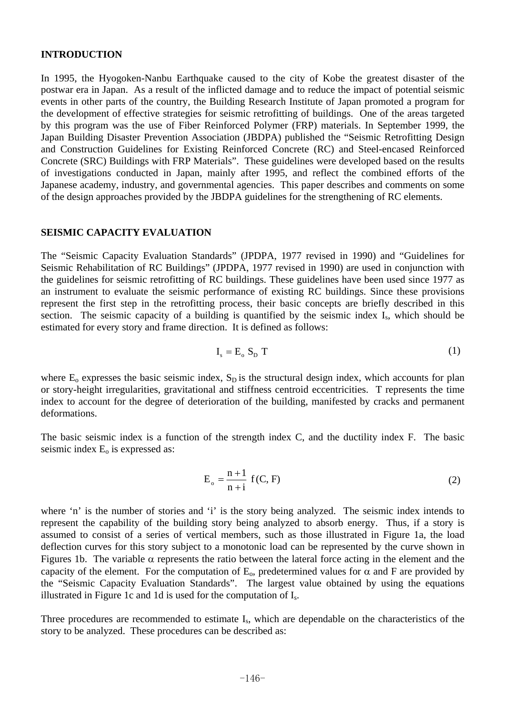#### **INTRODUCTION**

In 1995, the Hyogoken-Nanbu Earthquake caused to the city of Kobe the greatest disaster of the postwar era in Japan. As a result of the inflicted damage and to reduce the impact of potential seismic events in other parts of the country, the Building Research Institute of Japan promoted a program for the development of effective strategies for seismic retrofitting of buildings. One of the areas targeted by this program was the use of Fiber Reinforced Polymer (FRP) materials. In September 1999, the Japan Building Disaster Prevention Association (JBDPA) published the "Seismic Retrofitting Design and Construction Guidelines for Existing Reinforced Concrete (RC) and Steel-encased Reinforced Concrete (SRC) Buildings with FRP Materials". These guidelines were developed based on the results of investigations conducted in Japan, mainly after 1995, and reflect the combined efforts of the Japanese academy, industry, and governmental agencies. This paper describes and comments on some of the design approaches provided by the JBDPA guidelines for the strengthening of RC elements.

#### **SEISMIC CAPACITY EVALUATION**

The "Seismic Capacity Evaluation Standards" (JPDPA, 1977 revised in 1990) and "Guidelines for Seismic Rehabilitation of RC Buildings" (JPDPA, 1977 revised in 1990) are used in conjunction with the guidelines for seismic retrofitting of RC buildings. These guidelines have been used since 1977 as an instrument to evaluate the seismic performance of existing RC buildings. Since these provisions represent the first step in the retrofitting process, their basic concepts are briefly described in this section. The seismic capacity of a building is quantified by the seismic index Is, which should be estimated for every story and frame direction. It is defined as follows:

$$
I_s = E_o S_D T
$$
 (1)

where  $E_0$  expresses the basic seismic index,  $S_D$  is the structural design index, which accounts for plan or story-height irregularities, gravitational and stiffness centroid eccentricities. T represents the time index to account for the degree of deterioration of the building, manifested by cracks and permanent deformations.

The basic seismic index is a function of the strength index C, and the ductility index F. The basic seismic index  $E_0$  is expressed as:

$$
E_o = \frac{n+1}{n+i} f(C, F)
$$
 (2)

where 'n' is the number of stories and 'i' is the story being analyzed. The seismic index intends to represent the capability of the building story being analyzed to absorb energy. Thus, if a story is assumed to consist of a series of vertical members, such as those illustrated in Figure 1a, the load deflection curves for this story subject to a monotonic load can be represented by the curve shown in Figures 1b. The variable  $\alpha$  represents the ratio between the lateral force acting in the element and the capacity of the element. For the computation of  $E_0$ , predetermined values for  $\alpha$  and F are provided by the "Seismic Capacity Evaluation Standards". The largest value obtained by using the equations illustrated in Figure 1c and 1d is used for the computation of Is.

Three procedures are recommended to estimate I<sub>s</sub>, which are dependable on the characteristics of the story to be analyzed. These procedures can be described as: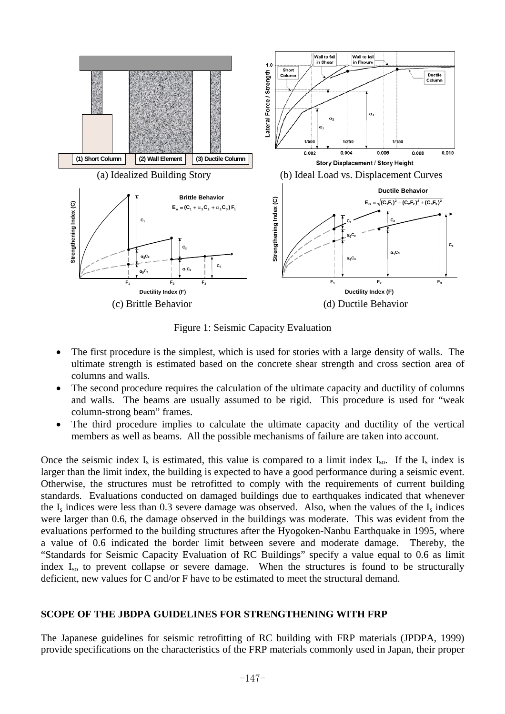

Figure 1: Seismic Capacity Evaluation

- The first procedure is the simplest, which is used for stories with a large density of walls. The ultimate strength is estimated based on the concrete shear strength and cross section area of columns and walls.
- The second procedure requires the calculation of the ultimate capacity and ductility of columns and walls. The beams are usually assumed to be rigid. This procedure is used for "weak column-strong beam" frames.
- The third procedure implies to calculate the ultimate capacity and ductility of the vertical members as well as beams. All the possible mechanisms of failure are taken into account.

Once the seismic index  $I_s$  is estimated, this value is compared to a limit index  $I_{so}$ . If the  $I_s$  index is larger than the limit index, the building is expected to have a good performance during a seismic event. Otherwise, the structures must be retrofitted to comply with the requirements of current building standards. Evaluations conducted on damaged buildings due to earthquakes indicated that whenever the  $I_s$  indices were less than 0.3 severe damage was observed. Also, when the values of the  $I_s$  indices were larger than 0.6, the damage observed in the buildings was moderate. This was evident from the evaluations performed to the building structures after the Hyogoken-Nanbu Earthquake in 1995, where a value of 0.6 indicated the border limit between severe and moderate damage. Thereby, the "Standards for Seismic Capacity Evaluation of RC Buildings" specify a value equal to 0.6 as limit index I<sub>so</sub> to prevent collapse or severe damage. When the structures is found to be structurally deficient, new values for C and/or F have to be estimated to meet the structural demand.

### **SCOPE OF THE JBDPA GUIDELINES FOR STRENGTHENING WITH FRP**

The Japanese guidelines for seismic retrofitting of RC building with FRP materials (JPDPA, 1999) provide specifications on the characteristics of the FRP materials commonly used in Japan, their proper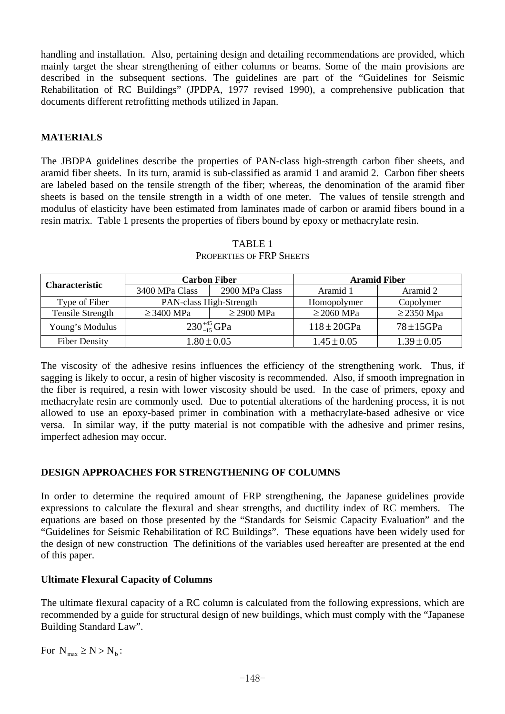handling and installation. Also, pertaining design and detailing recommendations are provided, which mainly target the shear strengthening of either columns or beams. Some of the main provisions are described in the subsequent sections. The guidelines are part of the "Guidelines for Seismic Rehabilitation of RC Buildings" (JPDPA, 1977 revised 1990), a comprehensive publication that documents different retrofitting methods utilized in Japan.

### **MATERIALS**

The JBDPA guidelines describe the properties of PAN-class high-strength carbon fiber sheets, and aramid fiber sheets. In its turn, aramid is sub-classified as aramid 1 and aramid 2. Carbon fiber sheets are labeled based on the tensile strength of the fiber; whereas, the denomination of the aramid fiber sheets is based on the tensile strength in a width of one meter. The values of tensile strength and modulus of elasticity have been estimated from laminates made of carbon or aramid fibers bound in a resin matrix. Table 1 presents the properties of fibers bound by epoxy or methacrylate resin.

| <b>Characteristic</b> | <b>Carbon Fiber</b>            |                 | <b>Aramid Fiber</b> |                 |
|-----------------------|--------------------------------|-----------------|---------------------|-----------------|
|                       | 3400 MPa Class                 | 2900 MPa Class  | Aramid 1            | Aramid 2        |
| Type of Fiber         | <b>PAN-class High-Strength</b> |                 | Homopolymer         | Copolymer       |
| Tensile Strength      | $\geq$ 3400 MPa                | $\geq$ 2900 MPa | $\geq$ 2060 MPa     | $\geq$ 2350 Mpa |
| Young's Modulus       | $230^{+45}_{-15}$ GPa          |                 | $118 \pm 20$ GPa    | $78 \pm 15$ GPa |
| <b>Fiber Density</b>  | $1.80 \pm 0.05$                |                 | $1.45 \pm 0.05$     | $1.39 \pm 0.05$ |

TABLE 1 PROPERTIES OF FRP SHEETS

The viscosity of the adhesive resins influences the efficiency of the strengthening work. Thus, if sagging is likely to occur, a resin of higher viscosity is recommended. Also, if smooth impregnation in the fiber is required, a resin with lower viscosity should be used. In the case of primers, epoxy and methacrylate resin are commonly used. Due to potential alterations of the hardening process, it is not allowed to use an epoxy-based primer in combination with a methacrylate-based adhesive or vice versa. In similar way, if the putty material is not compatible with the adhesive and primer resins, imperfect adhesion may occur.

### **DESIGN APPROACHES FOR STRENGTHENING OF COLUMNS**

In order to determine the required amount of FRP strengthening, the Japanese guidelines provide expressions to calculate the flexural and shear strengths, and ductility index of RC members. The equations are based on those presented by the "Standards for Seismic Capacity Evaluation" and the "Guidelines for Seismic Rehabilitation of RC Buildings". These equations have been widely used for the design of new construction The definitions of the variables used hereafter are presented at the end of this paper.

### **Ultimate Flexural Capacity of Columns**

The ultimate flexural capacity of a RC column is calculated from the following expressions, which are recommended by a guide for structural design of new buildings, which must comply with the "Japanese Building Standard Law".

For  $N_{\text{max}} \ge N > N_{\text{h}}$ :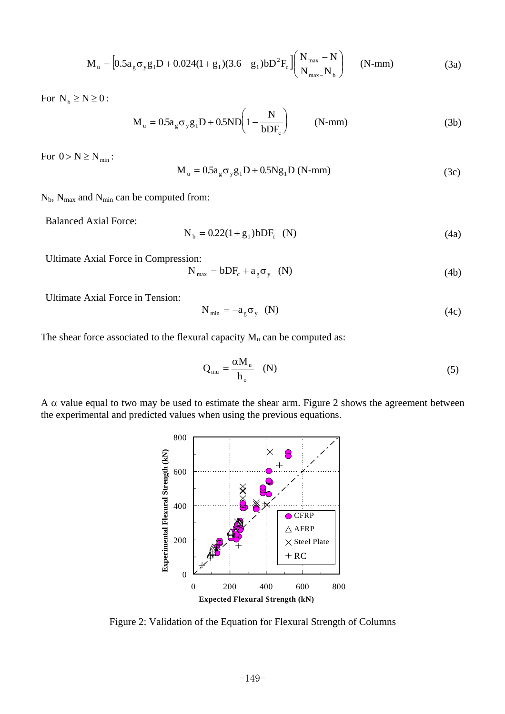$$
M_{u} = [0.5a_{g}\sigma_{y}g_{1}D + 0.024(1 + g_{1})(3.6 - g_{1})bD^{2}F_{c}]\left(\frac{N_{max} - N}{N_{max} - N_{b}}\right)
$$
 (N-mm) (3a)

For  $N_b \ge N \ge 0$ :

$$
M_{u} = 0.5a_{g}\sigma_{y}g_{1}D + 0.5ND\left(1 - \frac{N}{bDF_{c}}\right)
$$
 (N-mm) (3b)

For  $0 > N \ge N_{\min}$ :

$$
M_{u} = 0.5a_{g}\sigma_{y}g_{1}D + 0.5Ng_{1}D (N-nm)
$$
 (3c)

 $N_b$ ,  $N_{max}$  and  $N_{min}$  can be computed from:

Balanced Axial Force:

$$
N_b = 0.22(1 + g_1) bDF_c \t(N)
$$
 (4a)

Ultimate Axial Force in Compression:

$$
N_{\text{max}} = bDF_c + a_g \sigma_y \quad (N) \tag{4b}
$$

Ultimate Axial Force in Tension:

$$
N_{\min} = -a_{g} \sigma_{y} \quad (N) \tag{4c}
$$

The shear force associated to the flexural capacity  $M_u$  can be computed as:

$$
Q_{mu} = \frac{\alpha M_u}{h_o} \quad (N)
$$
 (5)

A  $\alpha$  value equal to two may be used to estimate the shear arm. Figure 2 shows the agreement between the experimental and predicted values when using the previous equations.



Figure 2: Validation of the Equation for Flexural Strength of Columns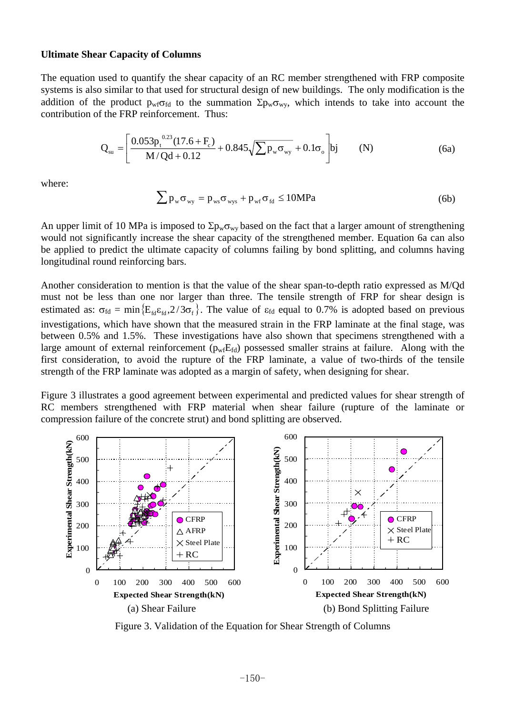#### **Ultimate Shear Capacity of Columns**

The equation used to quantify the shear capacity of an RC member strengthened with FRP composite systems is also similar to that used for structural design of new buildings. The only modification is the addition of the product  $p_{\rm wf}\sigma_{\rm fd}$  to the summation  $\Sigma p_{\rm w}\sigma_{\rm wy}$ , which intends to take into account the contribution of the FRP reinforcement. Thus:

$$
Q_{su} = \left[\frac{0.053p_t^{0.23}(17.6 + F_c)}{M/Qd + 0.12} + 0.845\sqrt{\sum p_w \sigma_{wy}} + 0.1\sigma_o\right]bj
$$
 (N) (6a)

where:

$$
\sum p_{w} \sigma_{wy} = p_{ws} \sigma_{wys} + p_{wf} \sigma_{fd} \le 10 MPa
$$
 (6b)

An upper limit of 10 MPa is imposed to  $\Sigma p_w \sigma_{wy}$  based on the fact that a larger amount of strengthening would not significantly increase the shear capacity of the strengthened member. Equation 6a can also be applied to predict the ultimate capacity of columns failing by bond splitting, and columns having longitudinal round reinforcing bars.

Another consideration to mention is that the value of the shear span-to-depth ratio expressed as M/Qd must not be less than one nor larger than three. The tensile strength of FRP for shear design is estimated as:  $\sigma_{\text{fd}} = \min\left\{E_{\text{fd}}\varepsilon_{\text{fd}}\cdot 2/3\sigma_{\text{f}}\right\}$ . The value of  $\varepsilon_{\text{fd}}$  equal to 0.7% is adopted based on previous investigations, which have shown that the measured strain in the FRP laminate at the final stage, was between 0.5% and 1.5%. These investigations have also shown that specimens strengthened with a large amount of external reinforcement ( $p_{wf}E_{fd}$ ) possessed smaller strains at failure. Along with the first consideration, to avoid the rupture of the FRP laminate, a value of two-thirds of the tensile strength of the FRP laminate was adopted as a margin of safety, when designing for shear.

Figure 3 illustrates a good agreement between experimental and predicted values for shear strength of RC members strengthened with FRP material when shear failure (rupture of the laminate or compression failure of the concrete strut) and bond splitting are observed.



Figure 3. Validation of the Equation for Shear Strength of Columns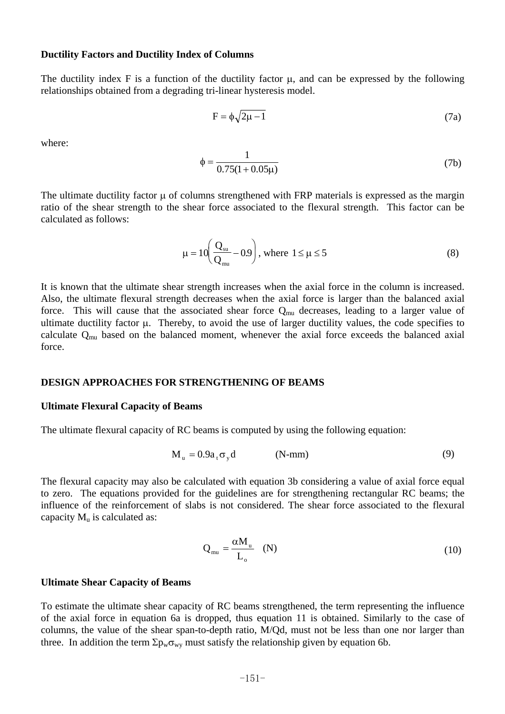#### **Ductility Factors and Ductility Index of Columns**

The ductility index F is a function of the ductility factor  $\mu$ , and can be expressed by the following relationships obtained from a degrading tri-linear hysteresis model.

$$
F = \phi \sqrt{2\mu - 1} \tag{7a}
$$

where:

$$
\phi = \frac{1}{0.75(1 + 0.05\mu)}
$$
(7b)

The ultimate ductility factor  $\mu$  of columns strengthened with FRP materials is expressed as the margin ratio of the shear strength to the shear force associated to the flexural strength. This factor can be calculated as follows:

$$
\mu = 10 \left( \frac{Q_{\text{su}}}{Q_{\text{mu}}} - 0.9 \right), \text{ where } 1 \le \mu \le 5 \tag{8}
$$

It is known that the ultimate shear strength increases when the axial force in the column is increased. Also, the ultimate flexural strength decreases when the axial force is larger than the balanced axial force. This will cause that the associated shear force  $Q_{mu}$  decreases, leading to a larger value of ultimate ductility factor  $\mu$ . Thereby, to avoid the use of larger ductility values, the code specifies to calculate Qmu based on the balanced moment, whenever the axial force exceeds the balanced axial force.

#### **DESIGN APPROACHES FOR STRENGTHENING OF BEAMS**

#### **Ultimate Flexural Capacity of Beams**

The ultimate flexural capacity of RC beams is computed by using the following equation:

$$
M_{u} = 0.9a_{t}\sigma_{y}d \qquad (N-mm) \qquad (9)
$$

The flexural capacity may also be calculated with equation 3b considering a value of axial force equal to zero. The equations provided for the guidelines are for strengthening rectangular RC beams; the influence of the reinforcement of slabs is not considered. The shear force associated to the flexural capacity  $M_u$  is calculated as:

$$
Q_{mu} = \frac{\alpha M_u}{L_o} \quad (N)
$$
 (10)

#### **Ultimate Shear Capacity of Beams**

To estimate the ultimate shear capacity of RC beams strengthened, the term representing the influence of the axial force in equation 6a is dropped, thus equation 11 is obtained. Similarly to the case of columns, the value of the shear span-to-depth ratio, M/Qd, must not be less than one nor larger than three. In addition the term  $\Sigma p_w \sigma_{wy}$  must satisfy the relationship given by equation 6b.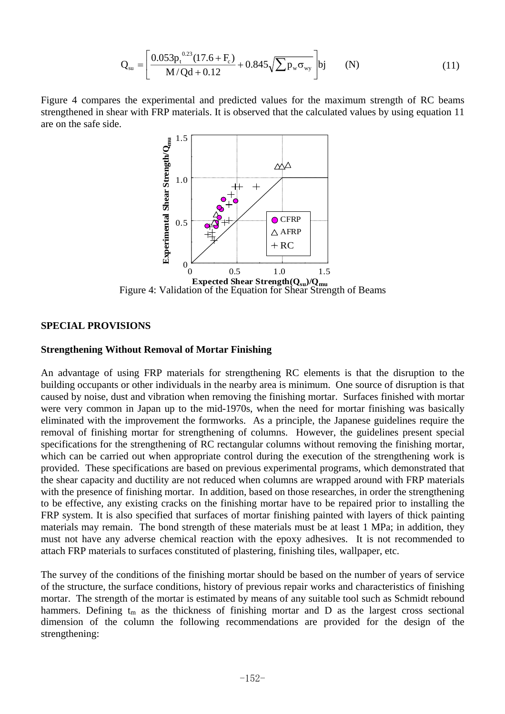$$
Q_{su} = \left[\frac{0.053p_t^{0.23}(17.6 + F_c)}{M/Qd + 0.12} + 0.845\sqrt{\sum p_w \sigma_{wy}}\right] bj
$$
 (N) (11)

Figure 4 compares the experimental and predicted values for the maximum strength of RC beams strengthened in shear with FRP materials. It is observed that the calculated values by using equation 11 are on the safe side.



Figure 4: Validation of the Equation for Shear Strength of Beams

#### **SPECIAL PROVISIONS**

#### **Strengthening Without Removal of Mortar Finishing**

An advantage of using FRP materials for strengthening RC elements is that the disruption to the building occupants or other individuals in the nearby area is minimum. One source of disruption is that caused by noise, dust and vibration when removing the finishing mortar. Surfaces finished with mortar were very common in Japan up to the mid-1970s, when the need for mortar finishing was basically eliminated with the improvement the formworks. As a principle, the Japanese guidelines require the removal of finishing mortar for strengthening of columns. However, the guidelines present special specifications for the strengthening of RC rectangular columns without removing the finishing mortar, which can be carried out when appropriate control during the execution of the strengthening work is provided. These specifications are based on previous experimental programs, which demonstrated that the shear capacity and ductility are not reduced when columns are wrapped around with FRP materials with the presence of finishing mortar. In addition, based on those researches, in order the strengthening to be effective, any existing cracks on the finishing mortar have to be repaired prior to installing the FRP system. It is also specified that surfaces of mortar finishing painted with layers of thick painting materials may remain. The bond strength of these materials must be at least 1 MPa; in addition, they must not have any adverse chemical reaction with the epoxy adhesives. It is not recommended to attach FRP materials to surfaces constituted of plastering, finishing tiles, wallpaper, etc.

The survey of the conditions of the finishing mortar should be based on the number of years of service of the structure, the surface conditions, history of previous repair works and characteristics of finishing mortar. The strength of the mortar is estimated by means of any suitable tool such as Schmidt rebound hammers. Defining  $t_m$  as the thickness of finishing mortar and D as the largest cross sectional dimension of the column the following recommendations are provided for the design of the strengthening: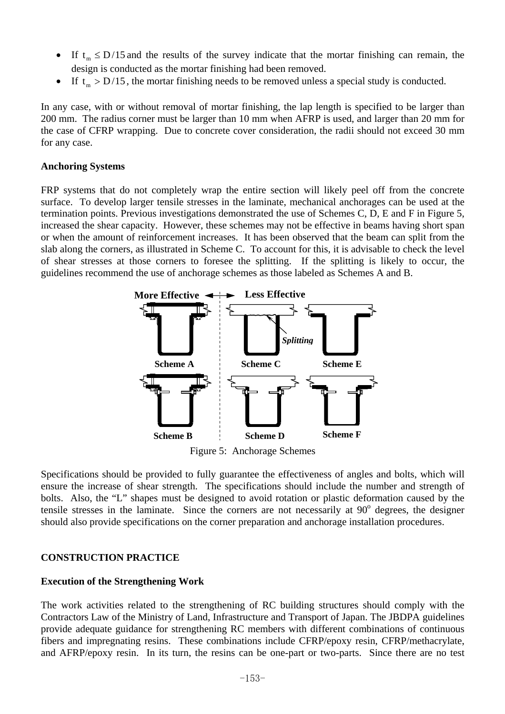- If  $t_m \leq D/15$  and the results of the survey indicate that the mortar finishing can remain, the design is conducted as the mortar finishing had been removed.
- If  $t_m > D/15$ , the mortar finishing needs to be removed unless a special study is conducted.

In any case, with or without removal of mortar finishing, the lap length is specified to be larger than 200 mm. The radius corner must be larger than 10 mm when AFRP is used, and larger than 20 mm for the case of CFRP wrapping. Due to concrete cover consideration, the radii should not exceed 30 mm for any case.

### **Anchoring Systems**

FRP systems that do not completely wrap the entire section will likely peel off from the concrete surface. To develop larger tensile stresses in the laminate, mechanical anchorages can be used at the termination points. Previous investigations demonstrated the use of Schemes C, D, E and F in Figure 5, increased the shear capacity. However, these schemes may not be effective in beams having short span or when the amount of reinforcement increases. It has been observed that the beam can split from the slab along the corners, as illustrated in Scheme C. To account for this, it is advisable to check the level of shear stresses at those corners to foresee the splitting. If the splitting is likely to occur, the guidelines recommend the use of anchorage schemes as those labeled as Schemes A and B.



Figure 5: Anchorage Schemes

Specifications should be provided to fully guarantee the effectiveness of angles and bolts, which will ensure the increase of shear strength. The specifications should include the number and strength of bolts. Also, the "L" shapes must be designed to avoid rotation or plastic deformation caused by the tensile stresses in the laminate. Since the corners are not necessarily at 90° degrees, the designer should also provide specifications on the corner preparation and anchorage installation procedures.

### **CONSTRUCTION PRACTICE**

### **Execution of the Strengthening Work**

The work activities related to the strengthening of RC building structures should comply with the Contractors Law of the Ministry of Land, Infrastructure and Transport of Japan. The JBDPA guidelines provide adequate guidance for strengthening RC members with different combinations of continuous fibers and impregnating resins. These combinations include CFRP/epoxy resin, CFRP/methacrylate, and AFRP/epoxy resin. In its turn, the resins can be one-part or two-parts. Since there are no test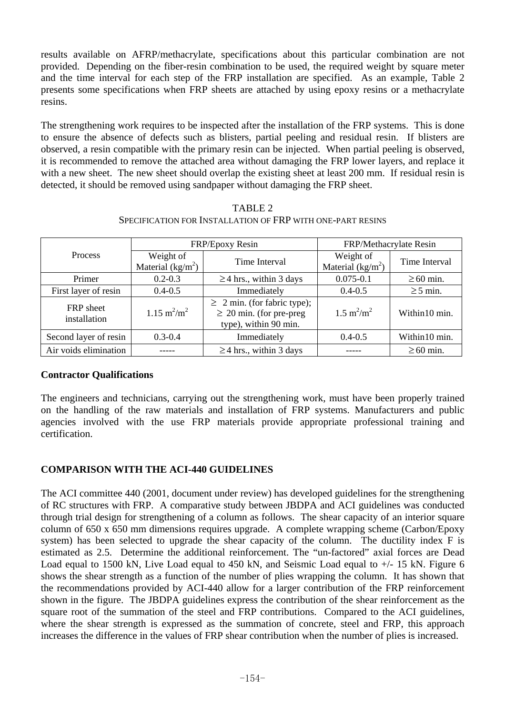results available on AFRP/methacrylate, specifications about this particular combination are not provided. Depending on the fiber-resin combination to be used, the required weight by square meter and the time interval for each step of the FRP installation are specified. As an example, Table 2 presents some specifications when FRP sheets are attached by using epoxy resins or a methacrylate resins.

The strengthening work requires to be inspected after the installation of the FRP systems. This is done to ensure the absence of defects such as blisters, partial peeling and residual resin. If blisters are observed, a resin compatible with the primary resin can be injected. When partial peeling is observed, it is recommended to remove the attached area without damaging the FRP lower layers, and replace it with a new sheet. The new sheet should overlap the existing sheet at least 200 mm. If residual resin is detected, it should be removed using sandpaper without damaging the FRP sheet.

|                           | FRP/Epoxy Resin                 |                                                                                           | FRP/Methacrylate Resin           |                |
|---------------------------|---------------------------------|-------------------------------------------------------------------------------------------|----------------------------------|----------------|
| Process                   | Weight of<br>Material $(kg/m2)$ | Time Interval                                                                             | Weight of<br>Material $(kg/m^2)$ | Time Interval  |
| Primer                    | $0.2 - 0.3$                     | $\geq$ 4 hrs., within 3 days                                                              | $0.075 - 0.1$                    | $\geq 60$ min. |
| First layer of resin      | $0.4 - 0.5$                     | Immediately                                                                               | $0.4 - 0.5$                      | $\geq$ 5 min.  |
| FRP sheet<br>installation | $1.15 \text{ m}^2/\text{m}^2$   | $\geq$ 2 min. (for fabric type);<br>$\geq$ 20 min. (for pre-preg<br>type), within 90 min. | $1.5 \text{ m}^2/\text{m}^2$     | Within10 min.  |
| Second layer of resin     | $0.3 - 0.4$                     | Immediately                                                                               | $0.4 - 0.5$                      | Within10 min.  |
| Air voids elimination     |                                 | $\geq$ 4 hrs., within 3 days                                                              |                                  | $\geq 60$ min. |

TABLE 2 SPECIFICATION FOR INSTALLATION OF FRP WITH ONE-PART RESINS

### **Contractor Qualifications**

The engineers and technicians, carrying out the strengthening work, must have been properly trained on the handling of the raw materials and installation of FRP systems. Manufacturers and public agencies involved with the use FRP materials provide appropriate professional training and certification.

### **COMPARISON WITH THE ACI-440 GUIDELINES**

The ACI committee 440 (2001, document under review) has developed guidelines for the strengthening of RC structures with FRP. A comparative study between JBDPA and ACI guidelines was conducted through trial design for strengthening of a column as follows. The shear capacity of an interior square column of 650 x 650 mm dimensions requires upgrade. A complete wrapping scheme (Carbon/Epoxy system) has been selected to upgrade the shear capacity of the column. The ductility index F is estimated as 2.5. Determine the additional reinforcement. The "un-factored" axial forces are Dead Load equal to 1500 kN, Live Load equal to 450 kN, and Seismic Load equal to  $+/- 15$  kN. Figure 6 shows the shear strength as a function of the number of plies wrapping the column. It has shown that the recommendations provided by ACI-440 allow for a larger contribution of the FRP reinforcement shown in the figure. The JBDPA guidelines express the contribution of the shear reinforcement as the square root of the summation of the steel and FRP contributions. Compared to the ACI guidelines, where the shear strength is expressed as the summation of concrete, steel and FRP, this approach increases the difference in the values of FRP shear contribution when the number of plies is increased.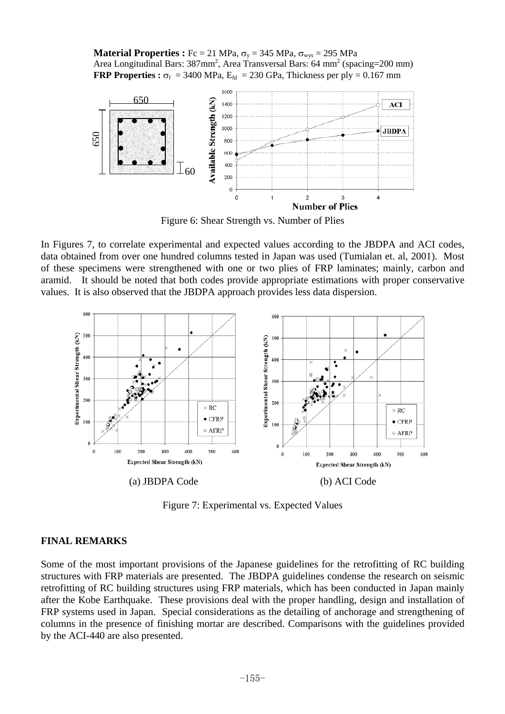**Material Properties :**  $Fc = 21 \text{ MPa}$ ,  $\sigma_v = 345 \text{ MPa}$ ,  $\sigma_{wvs} = 295 \text{ MPa}$ Area Longitudinal Bars: 387mm<sup>2</sup>, Area Transversal Bars: 64 mm<sup>2</sup> (spacing=200 mm) **FRP Properties :**  $\sigma_f$  = 3400 MPa,  $E_{td}$  = 230 GPa, Thickness per ply = 0.167 mm



In Figures 7, to correlate experimental and expected values according to the JBDPA and ACI codes, data obtained from over one hundred columns tested in Japan was used (Tumialan et. al, 2001). Most of these specimens were strengthened with one or two plies of FRP laminates; mainly, carbon and aramid. It should be noted that both codes provide appropriate estimations with proper conservative values. It is also observed that the JBDPA approach provides less data dispersion.



Figure 7: Experimental vs. Expected Values

#### **FINAL REMARKS**

Some of the most important provisions of the Japanese guidelines for the retrofitting of RC building structures with FRP materials are presented. The JBDPA guidelines condense the research on seismic retrofitting of RC building structures using FRP materials, which has been conducted in Japan mainly after the Kobe Earthquake. These provisions deal with the proper handling, design and installation of FRP systems used in Japan. Special considerations as the detailing of anchorage and strengthening of columns in the presence of finishing mortar are described. Comparisons with the guidelines provided by the ACI-440 are also presented.